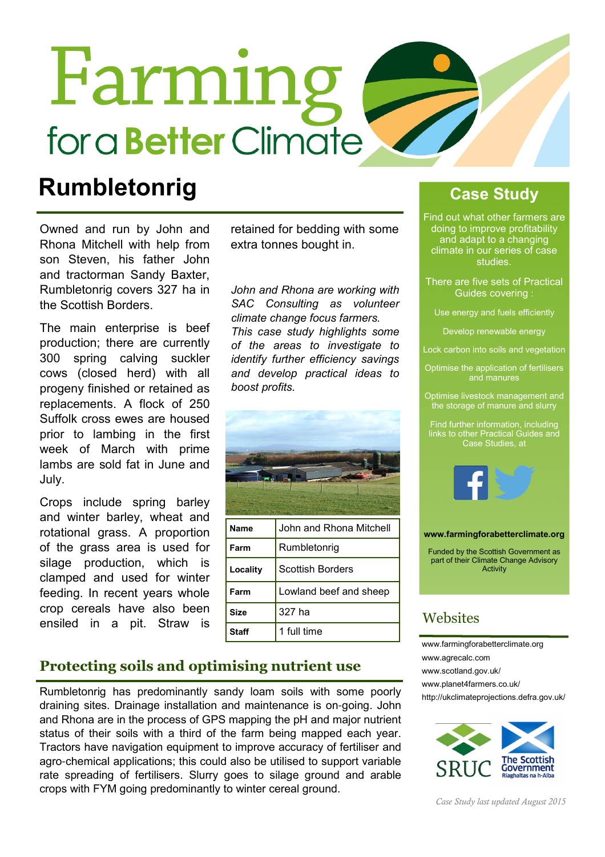# Farming for a **Better** Climate

### Rumbletonrig Case Study

Owned and run by John and Rhona Mitchell with help from son Steven, his father John and tractorman Sandy Baxter, Rumbletonrig covers 327 ha in the Scottish Borders.

The main enterprise is beef production; there are currently 300 spring calving suckler cows (closed herd) with all progeny finished or retained as replacements. A flock of 250 Suffolk cross ewes are housed prior to lambing in the first week of March with prime lambs are sold fat in June and July.

Crops include spring barley and winter barley, wheat and rotational grass. A proportion of the grass area is used for silage production, which is clamped and used for winter feeding. In recent years whole crop cereals have also been ensiled in a pit. Straw is

retained for bedding with some extra tonnes bought in.

John and Rhona are working with SAC Consulting as volunteer climate change focus farmers. This case study highlights some of the areas to investigate to identify further efficiency savings and develop practical ideas to boost profits.



#### Protecting soils and optimising nutrient use

Rumbletonrig has predominantly sandy loam soils with some poorly draining sites. Drainage installation and maintenance is on-going. John and Rhona are in the process of GPS mapping the pH and major nutrient status of their soils with a third of the farm being mapped each year. Tractors have navigation equipment to improve accuracy of fertiliser and agro-chemical applications; this could also be utilised to support variable rate spreading of fertilisers. Slurry goes to silage ground and arable crops with FYM going predominantly to winter cereal ground.

Find out what other farmers are doing to improve profitability and adapt to a changing climate in our series of case studies.

There are five sets of Practical Guides covering :

Use energy and fuels efficiently

Develop renewable energy

Lock carbon into soils and vegetation

Optimise the application of fertilisers and manures

Optimise livestock management and the storage of manure and slurry

Find further information, including links to other Practical Guides and Case Studies, at



www.farmingforabetterclimate.org

Funded by the Scottish Government as part of their Climate Change Advisory **Activity** 

#### **Websites**

www.farmingforabetterclimate.org www.agrecalc.com www.scotland.gov.uk/ www.planet4farmers.co.uk/ http://ukclimateprojections.defra.gov.uk/



Case Study last updated August 2015